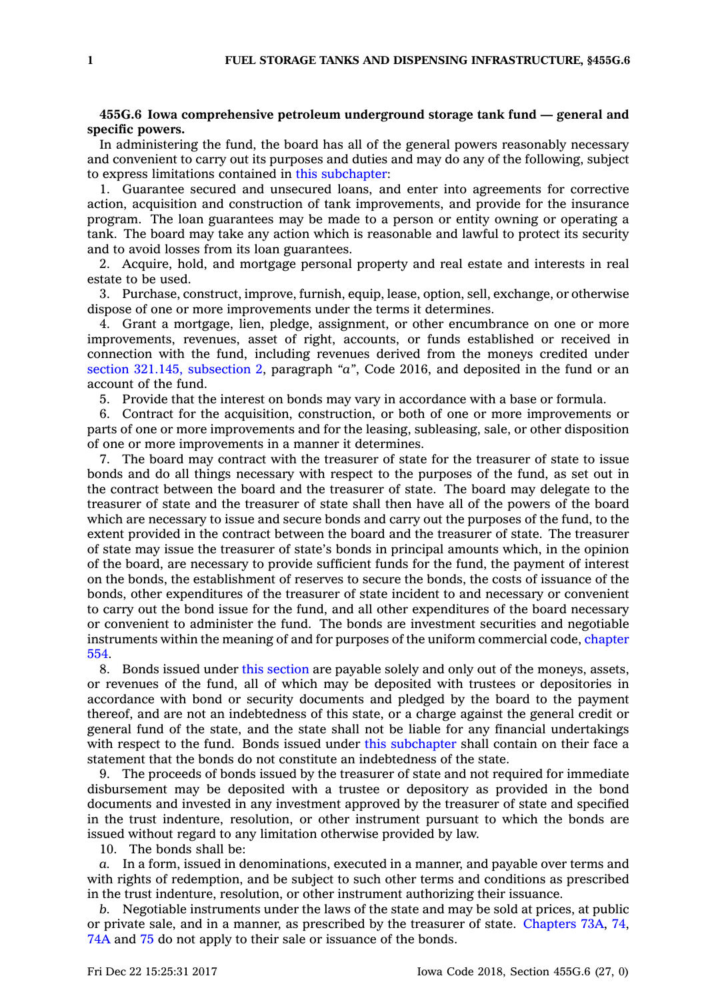## **455G.6 Iowa comprehensive petroleum underground storage tank fund — general and specific powers.**

In administering the fund, the board has all of the general powers reasonably necessary and convenient to carry out its purposes and duties and may do any of the following, subject to express limitations contained in this [subchapter](https://www.legis.iowa.gov/docs/code//455G.pdf):

1. Guarantee secured and unsecured loans, and enter into agreements for corrective action, acquisition and construction of tank improvements, and provide for the insurance program. The loan guarantees may be made to <sup>a</sup> person or entity owning or operating <sup>a</sup> tank. The board may take any action which is reasonable and lawful to protect its security and to avoid losses from its loan guarantees.

2. Acquire, hold, and mortgage personal property and real estate and interests in real estate to be used.

3. Purchase, construct, improve, furnish, equip, lease, option, sell, exchange, or otherwise dispose of one or more improvements under the terms it determines.

4. Grant <sup>a</sup> mortgage, lien, pledge, assignment, or other encumbrance on one or more improvements, revenues, asset of right, accounts, or funds established or received in connection with the fund, including revenues derived from the moneys credited under section 321.145, [subsection](https://www.legis.iowa.gov/docs/code/2016/321.145.pdf) 2, paragraph *"a"*, Code 2016, and deposited in the fund or an account of the fund.

5. Provide that the interest on bonds may vary in accordance with <sup>a</sup> base or formula.

6. Contract for the acquisition, construction, or both of one or more improvements or parts of one or more improvements and for the leasing, subleasing, sale, or other disposition of one or more improvements in <sup>a</sup> manner it determines.

7. The board may contract with the treasurer of state for the treasurer of state to issue bonds and do all things necessary with respect to the purposes of the fund, as set out in the contract between the board and the treasurer of state. The board may delegate to the treasurer of state and the treasurer of state shall then have all of the powers of the board which are necessary to issue and secure bonds and carry out the purposes of the fund, to the extent provided in the contract between the board and the treasurer of state. The treasurer of state may issue the treasurer of state's bonds in principal amounts which, in the opinion of the board, are necessary to provide sufficient funds for the fund, the payment of interest on the bonds, the establishment of reserves to secure the bonds, the costs of issuance of the bonds, other expenditures of the treasurer of state incident to and necessary or convenient to carry out the bond issue for the fund, and all other expenditures of the board necessary or convenient to administer the fund. The bonds are investment securities and negotiable instruments within the meaning of and for purposes of the uniform commercial code, [chapter](https://www.legis.iowa.gov/docs/code//554.pdf) [554](https://www.legis.iowa.gov/docs/code//554.pdf).

8. Bonds issued under this [section](https://www.legis.iowa.gov/docs/code/455G.6.pdf) are payable solely and only out of the moneys, assets, or revenues of the fund, all of which may be deposited with trustees or depositories in accordance with bond or security documents and pledged by the board to the payment thereof, and are not an indebtedness of this state, or <sup>a</sup> charge against the general credit or general fund of the state, and the state shall not be liable for any financial undertakings with respect to the fund. Bonds issued under this [subchapter](https://www.legis.iowa.gov/docs/code//455G.pdf) shall contain on their face <sup>a</sup> statement that the bonds do not constitute an indebtedness of the state.

9. The proceeds of bonds issued by the treasurer of state and not required for immediate disbursement may be deposited with <sup>a</sup> trustee or depository as provided in the bond documents and invested in any investment approved by the treasurer of state and specified in the trust indenture, resolution, or other instrument pursuant to which the bonds are issued without regard to any limitation otherwise provided by law.

10. The bonds shall be:

*a.* In <sup>a</sup> form, issued in denominations, executed in <sup>a</sup> manner, and payable over terms and with rights of redemption, and be subject to such other terms and conditions as prescribed in the trust indenture, resolution, or other instrument authorizing their issuance.

*b.* Negotiable instruments under the laws of the state and may be sold at prices, at public or private sale, and in <sup>a</sup> manner, as prescribed by the treasurer of state. [Chapters](https://www.legis.iowa.gov/docs/code//73A.pdf) 73A, [74](https://www.legis.iowa.gov/docs/code//74.pdf), [74A](https://www.legis.iowa.gov/docs/code//74A.pdf) and [75](https://www.legis.iowa.gov/docs/code//75.pdf) do not apply to their sale or issuance of the bonds.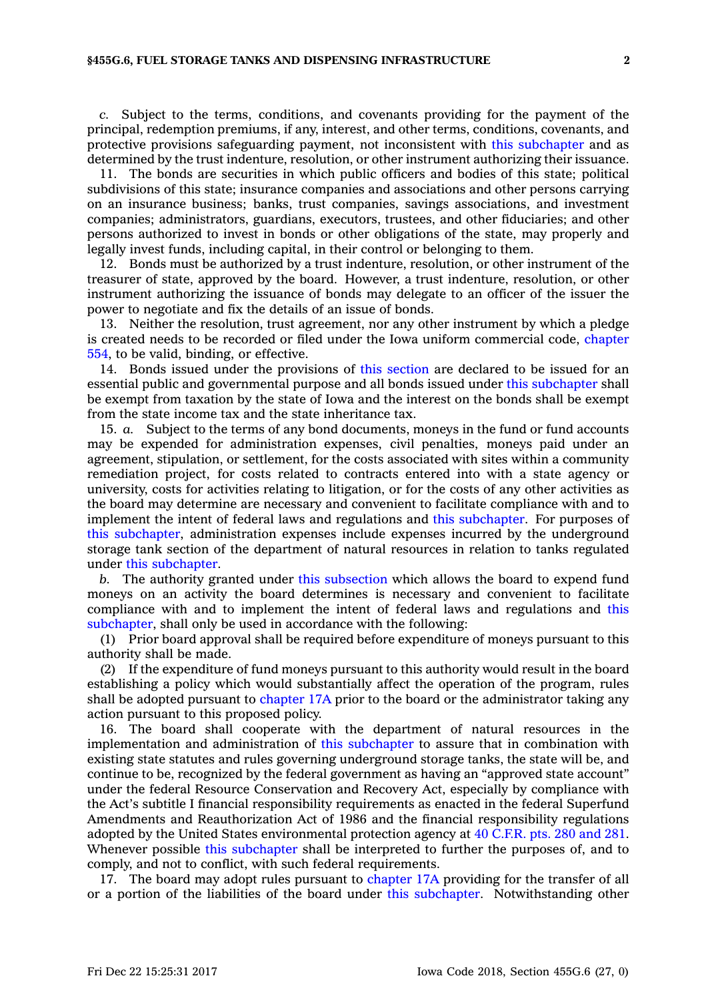*c.* Subject to the terms, conditions, and covenants providing for the payment of the principal, redemption premiums, if any, interest, and other terms, conditions, covenants, and protective provisions safeguarding payment, not inconsistent with this [subchapter](https://www.legis.iowa.gov/docs/code//455G.pdf) and as determined by the trust indenture, resolution, or other instrument authorizing their issuance.

11. The bonds are securities in which public officers and bodies of this state; political subdivisions of this state; insurance companies and associations and other persons carrying on an insurance business; banks, trust companies, savings associations, and investment companies; administrators, guardians, executors, trustees, and other fiduciaries; and other persons authorized to invest in bonds or other obligations of the state, may properly and legally invest funds, including capital, in their control or belonging to them.

12. Bonds must be authorized by <sup>a</sup> trust indenture, resolution, or other instrument of the treasurer of state, approved by the board. However, <sup>a</sup> trust indenture, resolution, or other instrument authorizing the issuance of bonds may delegate to an officer of the issuer the power to negotiate and fix the details of an issue of bonds.

13. Neither the resolution, trust agreement, nor any other instrument by which <sup>a</sup> pledge is created needs to be recorded or filed under the Iowa uniform commercial code, [chapter](https://www.legis.iowa.gov/docs/code//554.pdf) [554](https://www.legis.iowa.gov/docs/code//554.pdf), to be valid, binding, or effective.

14. Bonds issued under the provisions of this [section](https://www.legis.iowa.gov/docs/code/455G.6.pdf) are declared to be issued for an essential public and governmental purpose and all bonds issued under this [subchapter](https://www.legis.iowa.gov/docs/code//455G.pdf) shall be exempt from taxation by the state of Iowa and the interest on the bonds shall be exempt from the state income tax and the state inheritance tax.

15. *a.* Subject to the terms of any bond documents, moneys in the fund or fund accounts may be expended for administration expenses, civil penalties, moneys paid under an agreement, stipulation, or settlement, for the costs associated with sites within <sup>a</sup> community remediation project, for costs related to contracts entered into with <sup>a</sup> state agency or university, costs for activities relating to litigation, or for the costs of any other activities as the board may determine are necessary and convenient to facilitate compliance with and to implement the intent of federal laws and regulations and this [subchapter](https://www.legis.iowa.gov/docs/code//455G.pdf). For purposes of this [subchapter](https://www.legis.iowa.gov/docs/code//455G.pdf), administration expenses include expenses incurred by the underground storage tank section of the department of natural resources in relation to tanks regulated under this [subchapter](https://www.legis.iowa.gov/docs/code//455G.pdf).

*b.* The authority granted under this [subsection](https://www.legis.iowa.gov/docs/code/455G.6.pdf) which allows the board to expend fund moneys on an activity the board determines is necessary and convenient to facilitate compliance with and to implement the intent of federal laws and regulations and [this](https://www.legis.iowa.gov/docs/code//455G.pdf) [subchapter](https://www.legis.iowa.gov/docs/code//455G.pdf), shall only be used in accordance with the following:

(1) Prior board approval shall be required before expenditure of moneys pursuant to this authority shall be made.

(2) If the expenditure of fund moneys pursuant to this authority would result in the board establishing <sup>a</sup> policy which would substantially affect the operation of the program, rules shall be adopted pursuant to [chapter](https://www.legis.iowa.gov/docs/code//17A.pdf) 17A prior to the board or the administrator taking any action pursuant to this proposed policy.

16. The board shall cooperate with the department of natural resources in the implementation and administration of this [subchapter](https://www.legis.iowa.gov/docs/code//455G.pdf) to assure that in combination with existing state statutes and rules governing underground storage tanks, the state will be, and continue to be, recognized by the federal government as having an "approved state account" under the federal Resource Conservation and Recovery Act, especially by compliance with the Act's subtitle I financial responsibility requirements as enacted in the federal Superfund Amendments and Reauthorization Act of 1986 and the financial responsibility regulations adopted by the United States environmental protection agency at 40 [C.F.R.](https://www.law.cornell.edu/cfr/text/40/part-280,281) pts. 280 and 281. Whenever possible this [subchapter](https://www.legis.iowa.gov/docs/code//455G.pdf) shall be interpreted to further the purposes of, and to comply, and not to conflict, with such federal requirements.

17. The board may adopt rules pursuant to [chapter](https://www.legis.iowa.gov/docs/code//17A.pdf) 17A providing for the transfer of all or <sup>a</sup> portion of the liabilities of the board under this [subchapter](https://www.legis.iowa.gov/docs/code//455G.pdf). Notwithstanding other